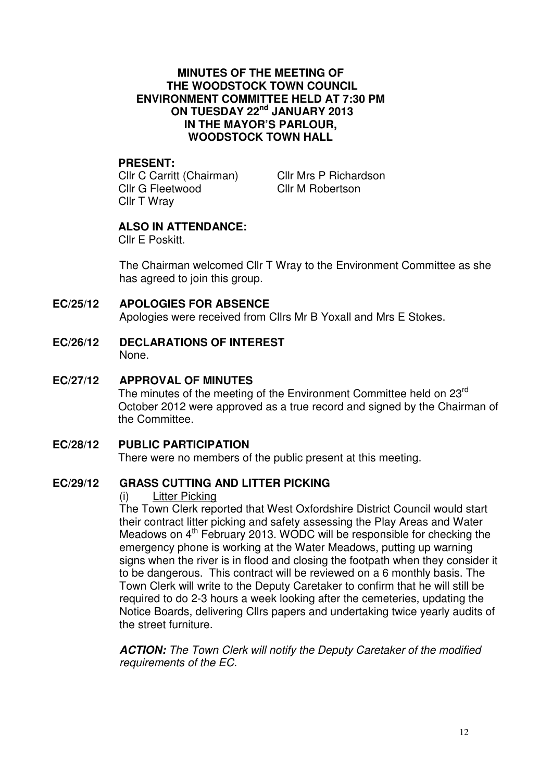#### **MINUTES OF THE MEETING OF THE WOODSTOCK TOWN COUNCIL ENVIRONMENT COMMITTEE HELD AT 7:30 PM ON TUESDAY 22nd JANUARY 2013 IN THE MAYOR'S PARLOUR, WOODSTOCK TOWN HALL**

#### **PRESENT:**

Cllr C Carritt (Chairman) Cllr G Fleetwood Cllr T Wray

Cllr Mrs P Richardson Cllr M Robertson

### **ALSO IN ATTENDANCE:**

Cllr E Poskitt.

The Chairman welcomed Cllr T Wray to the Environment Committee as she has agreed to join this group.

#### **EC/25/12 APOLOGIES FOR ABSENCE**

Apologies were received from Cllrs Mr B Yoxall and Mrs E Stokes.

**EC/26/12 DECLARATIONS OF INTEREST** None.

#### **EC/27/12 APPROVAL OF MINUTES**

The minutes of the meeting of the Environment Committee held on 23<sup>rd</sup> October 2012 were approved as a true record and signed by the Chairman of the Committee.

# **EC/28/12 PUBLIC PARTICIPATION**

There were no members of the public present at this meeting.

## **EC/29/12 GRASS CUTTING AND LITTER PICKING**

#### (i) Litter Picking

The Town Clerk reported that West Oxfordshire District Council would start their contract litter picking and safety assessing the Play Areas and Water Meadows on  $4<sup>th</sup>$  February 2013. WODC will be responsible for checking the emergency phone is working at the Water Meadows, putting up warning signs when the river is in flood and closing the footpath when they consider it to be dangerous. This contract will be reviewed on a 6 monthly basis. The Town Clerk will write to the Deputy Caretaker to confirm that he will still be required to do 2-3 hours a week looking after the cemeteries, updating the Notice Boards, delivering Cllrs papers and undertaking twice yearly audits of the street furniture.

**ACTION:** The Town Clerk will notify the Deputy Caretaker of the modified requirements of the EC.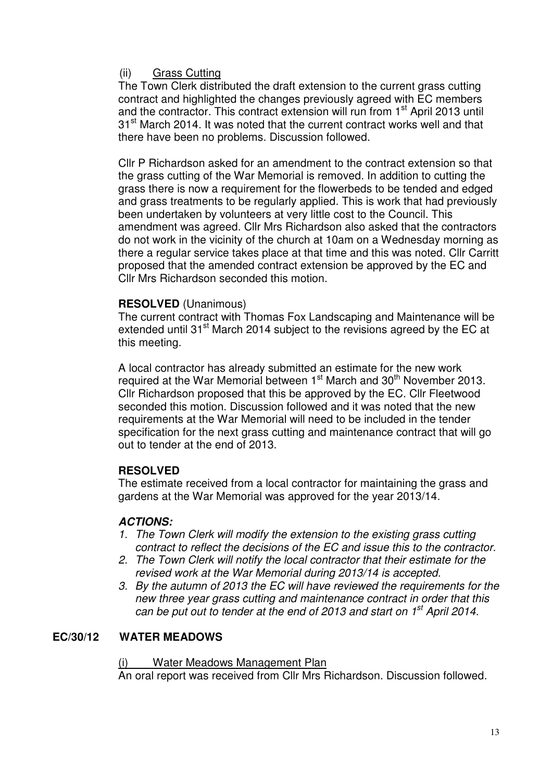# (ii) Grass Cutting

The Town Clerk distributed the draft extension to the current grass cutting contract and highlighted the changes previously agreed with EC members and the contractor. This contract extension will run from 1<sup>st</sup> April 2013 until 31<sup>st</sup> March 2014. It was noted that the current contract works well and that there have been no problems. Discussion followed.

Cllr P Richardson asked for an amendment to the contract extension so that the grass cutting of the War Memorial is removed. In addition to cutting the grass there is now a requirement for the flowerbeds to be tended and edged and grass treatments to be regularly applied. This is work that had previously been undertaken by volunteers at very little cost to the Council. This amendment was agreed. Cllr Mrs Richardson also asked that the contractors do not work in the vicinity of the church at 10am on a Wednesday morning as there a regular service takes place at that time and this was noted. Cllr Carritt proposed that the amended contract extension be approved by the EC and Cllr Mrs Richardson seconded this motion.

### **RESOLVED** (Unanimous)

The current contract with Thomas Fox Landscaping and Maintenance will be extended until 31<sup>st</sup> March 2014 subject to the revisions agreed by the EC at this meeting.

A local contractor has already submitted an estimate for the new work required at the War Memorial between 1<sup>st</sup> March and 30<sup>th</sup> November 2013. Cllr Richardson proposed that this be approved by the EC. Cllr Fleetwood seconded this motion. Discussion followed and it was noted that the new requirements at the War Memorial will need to be included in the tender specification for the next grass cutting and maintenance contract that will go out to tender at the end of 2013.

## **RESOLVED**

The estimate received from a local contractor for maintaining the grass and gardens at the War Memorial was approved for the year 2013/14.

## **ACTIONS:**

- 1. The Town Clerk will modify the extension to the existing grass cutting contract to reflect the decisions of the EC and issue this to the contractor.
- 2. The Town Clerk will notify the local contractor that their estimate for the revised work at the War Memorial during 2013/14 is accepted.
- 3. By the autumn of 2013 the EC will have reviewed the requirements for the new three year grass cutting and maintenance contract in order that this can be put out to tender at the end of 2013 and start on  $1<sup>st</sup>$  April 2014.

## **EC/30/12 WATER MEADOWS**

### Water Meadows Management Plan

An oral report was received from Cllr Mrs Richardson. Discussion followed.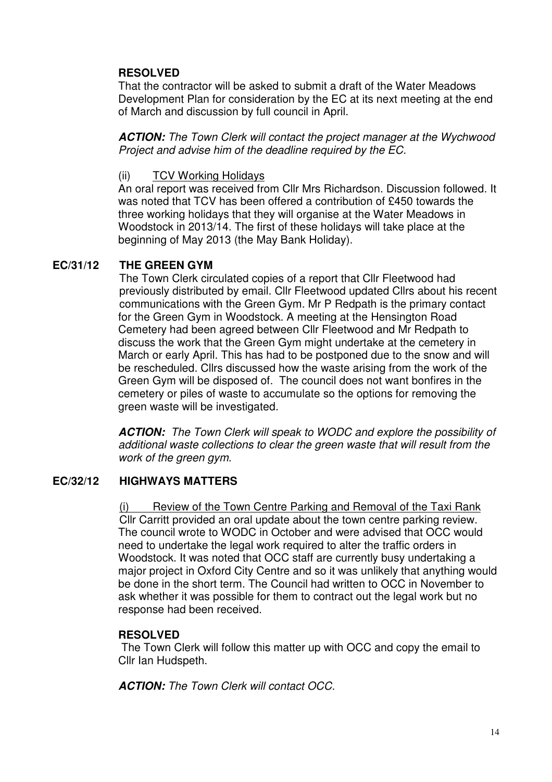# **RESOLVED**

That the contractor will be asked to submit a draft of the Water Meadows Development Plan for consideration by the EC at its next meeting at the end of March and discussion by full council in April.

**ACTION:** The Town Clerk will contact the project manager at the Wychwood Project and advise him of the deadline required by the EC.

## (ii) TCV Working Holidays

An oral report was received from Cllr Mrs Richardson. Discussion followed. It was noted that TCV has been offered a contribution of £450 towards the three working holidays that they will organise at the Water Meadows in Woodstock in 2013/14. The first of these holidays will take place at the beginning of May 2013 (the May Bank Holiday).

# **EC/31/12 THE GREEN GYM**

The Town Clerk circulated copies of a report that Cllr Fleetwood had previously distributed by email. Cllr Fleetwood updated Cllrs about his recent communications with the Green Gym. Mr P Redpath is the primary contact for the Green Gym in Woodstock. A meeting at the Hensington Road Cemetery had been agreed between Cllr Fleetwood and Mr Redpath to discuss the work that the Green Gym might undertake at the cemetery in March or early April. This has had to be postponed due to the snow and will be rescheduled. Cllrs discussed how the waste arising from the work of the Green Gym will be disposed of. The council does not want bonfires in the cemetery or piles of waste to accumulate so the options for removing the green waste will be investigated.

**ACTION:** The Town Clerk will speak to WODC and explore the possibility of additional waste collections to clear the green waste that will result from the work of the green gym.

# **EC/32/12 HIGHWAYS MATTERS**

(i) Review of the Town Centre Parking and Removal of the Taxi Rank Cllr Carritt provided an oral update about the town centre parking review. The council wrote to WODC in October and were advised that OCC would need to undertake the legal work required to alter the traffic orders in Woodstock. It was noted that OCC staff are currently busy undertaking a major project in Oxford City Centre and so it was unlikely that anything would be done in the short term. The Council had written to OCC in November to ask whether it was possible for them to contract out the legal work but no response had been received.

## **RESOLVED**

The Town Clerk will follow this matter up with OCC and copy the email to Cllr Ian Hudspeth.

**ACTION:** The Town Clerk will contact OCC.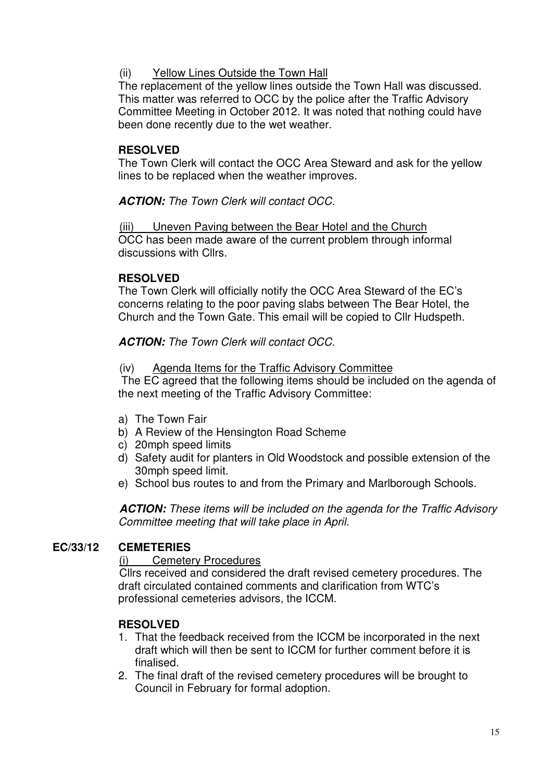# (ii) Yellow Lines Outside the Town Hall

The replacement of the yellow lines outside the Town Hall was discussed. This matter was referred to OCC by the police after the Traffic Advisory Committee Meeting in October 2012. It was noted that nothing could have been done recently due to the wet weather.

## **RESOLVED**

The Town Clerk will contact the OCC Area Steward and ask for the yellow lines to be replaced when the weather improves.

**ACTION:** The Town Clerk will contact OCC.

(iii) Uneven Paving between the Bear Hotel and the Church OCC has been made aware of the current problem through informal discussions with Cllrs.

## **RESOLVED**

The Town Clerk will officially notify the OCC Area Steward of the EC's concerns relating to the poor paving slabs between The Bear Hotel, the Church and the Town Gate. This email will be copied to Cllr Hudspeth.

**ACTION:** The Town Clerk will contact OCC.

### (iv) Agenda Items for the Traffic Advisory Committee

 The EC agreed that the following items should be included on the agenda of the next meeting of the Traffic Advisory Committee:

- a) The Town Fair
- b) A Review of the Hensington Road Scheme
- c) 20mph speed limits
- d) Safety audit for planters in Old Woodstock and possible extension of the 30mph speed limit.
- e) School bus routes to and from the Primary and Marlborough Schools.

**ACTION:** These items will be included on the agenda for the Traffic Advisory Committee meeting that will take place in April.

## **EC/33/12 CEMETERIES**

### (i) Cemetery Procedures

Cllrs received and considered the draft revised cemetery procedures. The draft circulated contained comments and clarification from WTC's professional cemeteries advisors, the ICCM.

## **RESOLVED**

- 1. That the feedback received from the ICCM be incorporated in the next draft which will then be sent to ICCM for further comment before it is finalised.
- 2. The final draft of the revised cemetery procedures will be brought to Council in February for formal adoption.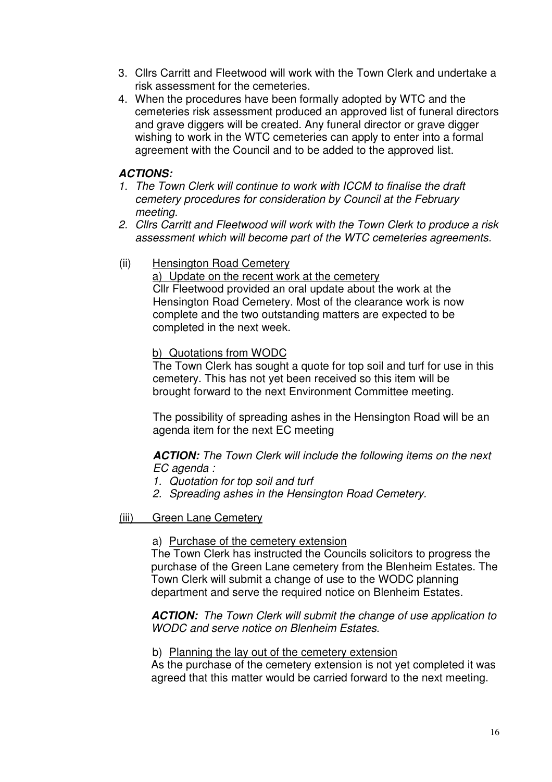- 3. Cllrs Carritt and Fleetwood will work with the Town Clerk and undertake a risk assessment for the cemeteries.
- 4. When the procedures have been formally adopted by WTC and the cemeteries risk assessment produced an approved list of funeral directors and grave diggers will be created. Any funeral director or grave digger wishing to work in the WTC cemeteries can apply to enter into a formal agreement with the Council and to be added to the approved list.

## **ACTIONS:**

- 1. The Town Clerk will continue to work with ICCM to finalise the draft cemetery procedures for consideration by Council at the February meeting.
- 2. Cllrs Carritt and Fleetwood will work with the Town Clerk to produce a risk assessment which will become part of the WTC cemeteries agreements.

## (ii) Hensington Road Cemetery

a) Update on the recent work at the cemetery Cllr Fleetwood provided an oral update about the work at the Hensington Road Cemetery. Most of the clearance work is now complete and the two outstanding matters are expected to be completed in the next week.

## b) Quotations from WODC

The Town Clerk has sought a quote for top soil and turf for use in this cemetery. This has not yet been received so this item will be brought forward to the next Environment Committee meeting.

The possibility of spreading ashes in the Hensington Road will be an agenda item for the next EC meeting

**ACTION:** The Town Clerk will include the following items on the next EC agenda :

- 1. Quotation for top soil and turf
- 2. Spreading ashes in the Hensington Road Cemetery.
- (iii) Green Lane Cemetery

## a) Purchase of the cemetery extension

The Town Clerk has instructed the Councils solicitors to progress the purchase of the Green Lane cemetery from the Blenheim Estates. The Town Clerk will submit a change of use to the WODC planning department and serve the required notice on Blenheim Estates.

### **ACTION:** The Town Clerk will submit the change of use application to WODC and serve notice on Blenheim Estates.

### b) Planning the lay out of the cemetery extension

As the purchase of the cemetery extension is not yet completed it was agreed that this matter would be carried forward to the next meeting.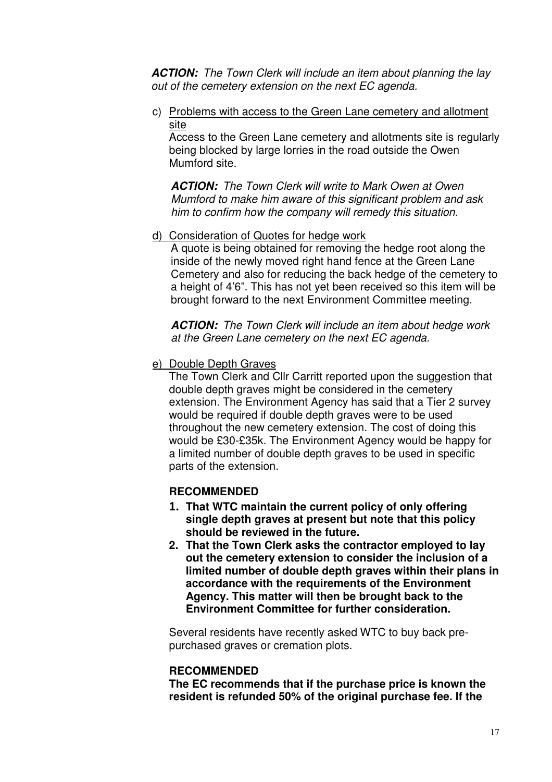**ACTION:** The Town Clerk will include an item about planning the lay out of the cemetery extension on the next EC agenda.

c) Problems with access to the Green Lane cemetery and allotment site

Access to the Green Lane cemetery and allotments site is regularly being blocked by large lorries in the road outside the Owen Mumford site.

**ACTION:** The Town Clerk will write to Mark Owen at Owen Mumford to make him aware of this significant problem and ask him to confirm how the company will remedy this situation.

#### d) Consideration of Quotes for hedge work

A quote is being obtained for removing the hedge root along the inside of the newly moved right hand fence at the Green Lane Cemetery and also for reducing the back hedge of the cemetery to a height of 4'6". This has not yet been received so this item will be brought forward to the next Environment Committee meeting.

**ACTION:** The Town Clerk will include an item about hedge work at the Green Lane cemetery on the next EC agenda.

e) Double Depth Graves

The Town Clerk and Cllr Carritt reported upon the suggestion that double depth graves might be considered in the cemetery extension. The Environment Agency has said that a Tier 2 survey would be required if double depth graves were to be used throughout the new cemetery extension. The cost of doing this would be £30-£35k. The Environment Agency would be happy for a limited number of double depth graves to be used in specific parts of the extension.

### **RECOMMENDED**

- 1. **That WTC maintain the current policy of only offering single depth graves at present but note that this policy should be reviewed in the future.**
- **2. That the Town Clerk asks the contractor employed to lay out the cemetery extension to consider the inclusion of a limited number of double depth graves within their plans in accordance with the requirements of the Environment Agency. This matter will then be brought back to the Environment Committee for further consideration.**

Several residents have recently asked WTC to buy back prepurchased graves or cremation plots.

#### **RECOMMENDED**

**The EC recommends that if the purchase price is known the resident is refunded 50% of the original purchase fee. If the**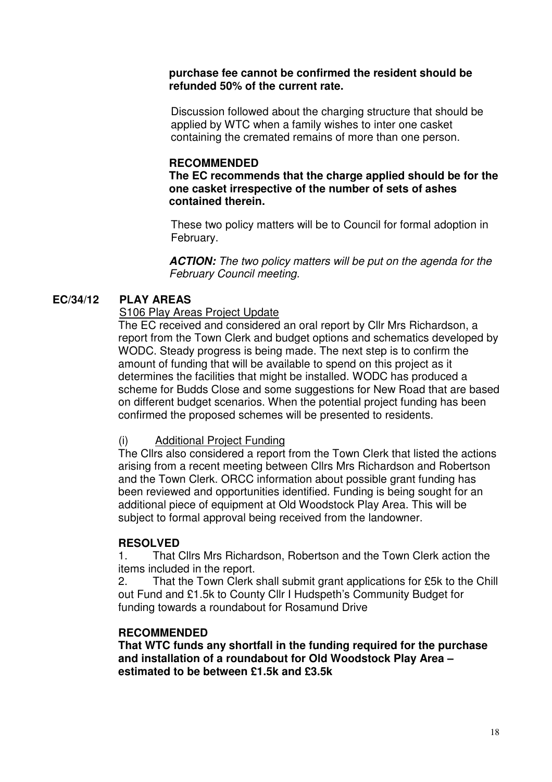#### **purchase fee cannot be confirmed the resident should be refunded 50% of the current rate.**

Discussion followed about the charging structure that should be applied by WTC when a family wishes to inter one casket containing the cremated remains of more than one person.

#### **RECOMMENDED**

**The EC recommends that the charge applied should be for the one casket irrespective of the number of sets of ashes contained therein.**

These two policy matters will be to Council for formal adoption in February.

**ACTION:** The two policy matters will be put on the agenda for the February Council meeting.

## **EC/34/12 PLAY AREAS**

### S106 Play Areas Project Update

The EC received and considered an oral report by Cllr Mrs Richardson, a report from the Town Clerk and budget options and schematics developed by WODC. Steady progress is being made. The next step is to confirm the amount of funding that will be available to spend on this project as it determines the facilities that might be installed. WODC has produced a scheme for Budds Close and some suggestions for New Road that are based on different budget scenarios. When the potential project funding has been confirmed the proposed schemes will be presented to residents.

### (i) Additional Project Funding

The Cllrs also considered a report from the Town Clerk that listed the actions arising from a recent meeting between Cllrs Mrs Richardson and Robertson and the Town Clerk. ORCC information about possible grant funding has been reviewed and opportunities identified. Funding is being sought for an additional piece of equipment at Old Woodstock Play Area. This will be subject to formal approval being received from the landowner.

### **RESOLVED**

1. That Cllrs Mrs Richardson, Robertson and the Town Clerk action the items included in the report.

2. That the Town Clerk shall submit grant applications for £5k to the Chill out Fund and £1.5k to County Cllr I Hudspeth's Community Budget for funding towards a roundabout for Rosamund Drive

### **RECOMMENDED**

**That WTC funds any shortfall in the funding required for the purchase and installation of a roundabout for Old Woodstock Play Area – estimated to be between £1.5k and £3.5k**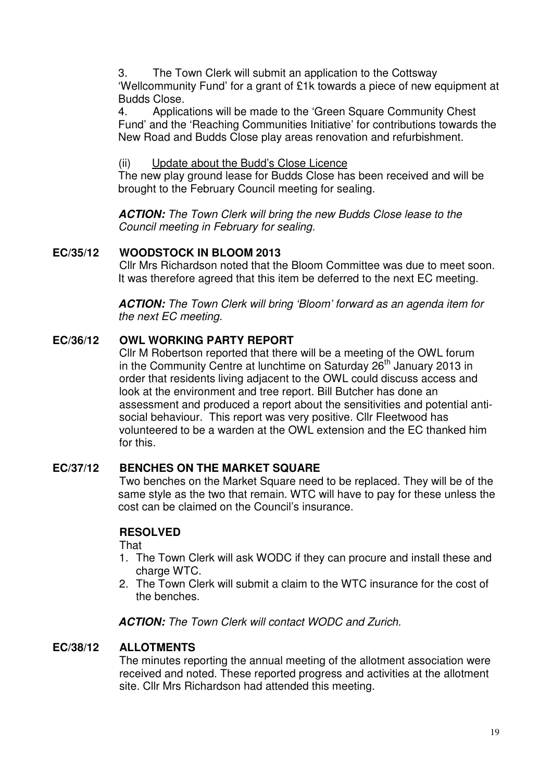3. The Town Clerk will submit an application to the Cottsway 'Wellcommunity Fund' for a grant of £1k towards a piece of new equipment at Budds Close.

4. Applications will be made to the 'Green Square Community Chest Fund' and the 'Reaching Communities Initiative' for contributions towards the New Road and Budds Close play areas renovation and refurbishment.

(ii) Update about the Budd's Close Licence

The new play ground lease for Budds Close has been received and will be brought to the February Council meeting for sealing.

**ACTION:** The Town Clerk will bring the new Budds Close lease to the Council meeting in February for sealing.

## **EC/35/12 WOODSTOCK IN BLOOM 2013**

Cllr Mrs Richardson noted that the Bloom Committee was due to meet soon. It was therefore agreed that this item be deferred to the next EC meeting.

**ACTION:** The Town Clerk will bring 'Bloom' forward as an agenda item for the next EC meeting.

## **EC/36/12 OWL WORKING PARTY REPORT**

Cllr M Robertson reported that there will be a meeting of the OWL forum in the Community Centre at lunchtime on Saturday 26<sup>th</sup> January 2013 in order that residents living adjacent to the OWL could discuss access and look at the environment and tree report. Bill Butcher has done an assessment and produced a report about the sensitivities and potential antisocial behaviour. This report was very positive. Cllr Fleetwood has volunteered to be a warden at the OWL extension and the EC thanked him for this.

## **EC/37/12 BENCHES ON THE MARKET SQUARE**

Two benches on the Market Square need to be replaced. They will be of the same style as the two that remain. WTC will have to pay for these unless the cost can be claimed on the Council's insurance.

### **RESOLVED**

That

- 1. The Town Clerk will ask WODC if they can procure and install these and charge WTC.
- 2. The Town Clerk will submit a claim to the WTC insurance for the cost of the benches.

**ACTION:** The Town Clerk will contact WODC and Zurich.

## **EC/38/12 ALLOTMENTS**

The minutes reporting the annual meeting of the allotment association were received and noted. These reported progress and activities at the allotment site. Cllr Mrs Richardson had attended this meeting.